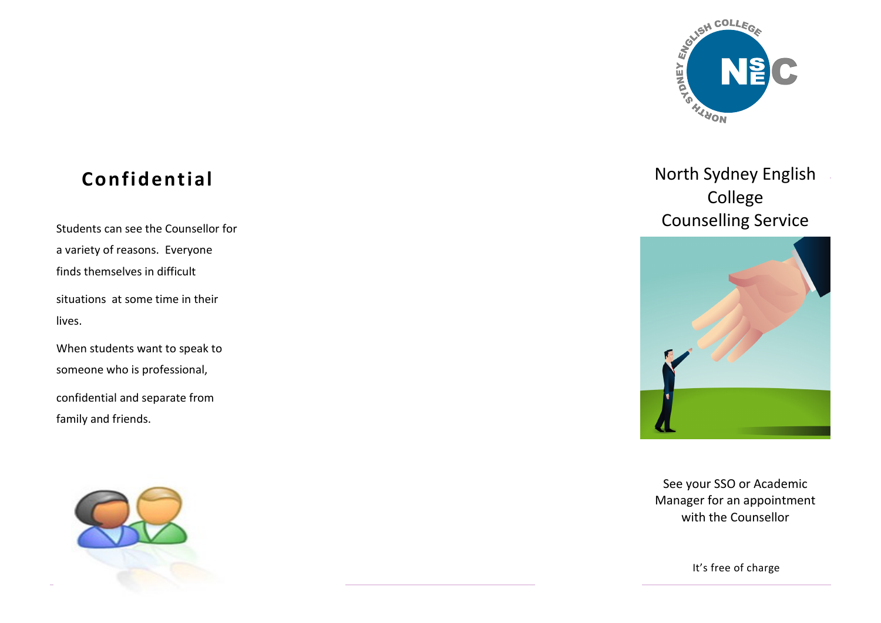

## **Confidential**

a variety of reasons. Everyone finds themselves in difficult situations at some time in their lives.

When students want to speak to someone who is professional,

confidential and separate from family and friends.



North Sydney English College Students can see the Counsellor for<br>
Students can see the Counsellor for



See your SSO or Academic Manager for an appointment with the Counsellor

It's free of charge